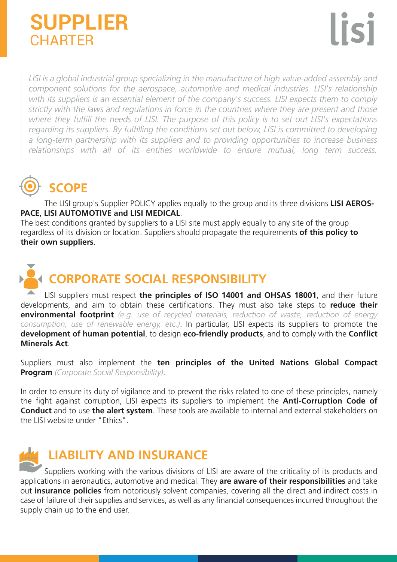### **CHARTER SUPPLIER**

*LISI is a global industrial group specializing in the manufacture of high value-added assembly and component solutions for the aerospace, automotive and medical industries. LISI's relationship*  with its suppliers is an essential element of the company's success. LISI expects them to comply *strictly with the laws and regulations in force in the countries where they are present and those where they fulfill the needs of LISI. The purpose of this policy is to set out LISI's expectations regarding its suppliers. By fulfilling the conditions set out below, LISI is committed to developing a long-term partnership with its suppliers and to providing opportunities to increase business relationships with all of its entities worldwide to ensure mutual, long term success.*

## **SCOPE**

 The LISI group's Supplier POLICY applies equally to the group and its three divisions **LISI AEROS-PACE, LISI AUTOMOTIVE and LISI MEDICAL**.

The best conditions granted by suppliers to a LISI site must apply equally to any site of the group regardless of its division or location. Suppliers should propagate the requirements **of this policy to their own suppliers**.

# **CORPORATE SOCIAL RESPONSIBILITY**

 LISI suppliers must respect **the principles of ISO 14001 and OHSAS 18001**, and their future developments, and aim to obtain these certifications. They must also take steps to **reduce their environmental footprint** *(e.g. use of recycled materials, reduction of waste, reduction of energy consumption, use of renewable energy, etc.)*. In particular, LISI expects its suppliers to promote the **development of human potential**, to design **eco-friendly products**, and to comply with the **Conflict Minerals Act**.

Suppliers must also implement the **ten principles of the United Nations Global Compact Program** *(Corporate Social Responsibility)*.

In order to ensure its duty of vigilance and to prevent the risks related to one of these principles, namely the fight against corruption, LISI expects its suppliers to implement the **Anti-Corruption Code of Conduct** and to use **the alert system**. These tools are available to internal and external stakeholders on the LISI website under "Ethics".

### **LIABILITY AND INSURANCE**

 Suppliers working with the various divisions of LISI are aware of the criticality of its products and applications in aeronautics, automotive and medical. They **are aware of their responsibilities** and take out **insurance policies** from notoriously solvent companies, covering all the direct and indirect costs in case of failure of their supplies and services, as well as any financial consequences incurred throughout the supply chain up to the end user.